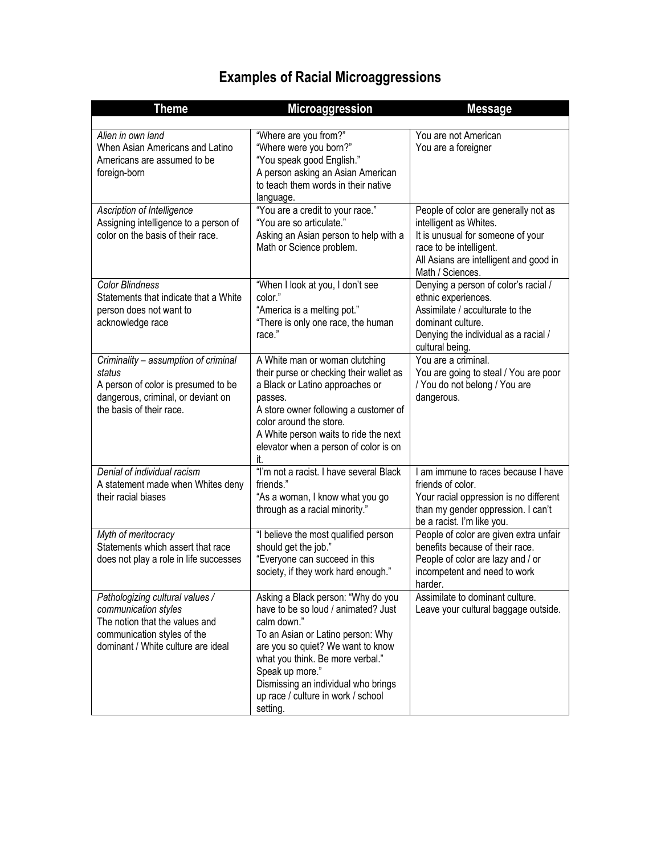## **Examples of Racial Microaggressions**

| <b>Theme</b>                                                                                                                                                   | <b>Microaggression</b>                                                                                                                                                                                                                                                                                             | <b>Message</b>                                                                                                                                                                               |
|----------------------------------------------------------------------------------------------------------------------------------------------------------------|--------------------------------------------------------------------------------------------------------------------------------------------------------------------------------------------------------------------------------------------------------------------------------------------------------------------|----------------------------------------------------------------------------------------------------------------------------------------------------------------------------------------------|
|                                                                                                                                                                |                                                                                                                                                                                                                                                                                                                    |                                                                                                                                                                                              |
| Alien in own land<br>When Asian Americans and Latino<br>Americans are assumed to be<br>foreign-born                                                            | "Where are you from?"<br>"Where were you born?"<br>"You speak good English."<br>A person asking an Asian American<br>to teach them words in their native<br>language.                                                                                                                                              | You are not American<br>You are a foreigner                                                                                                                                                  |
| Ascription of Intelligence<br>Assigning intelligence to a person of<br>color on the basis of their race.                                                       | "You are a credit to your race."<br>"You are so articulate."<br>Asking an Asian person to help with a<br>Math or Science problem.                                                                                                                                                                                  | People of color are generally not as<br>intelligent as Whites.<br>It is unusual for someone of your<br>race to be intelligent.<br>All Asians are intelligent and good in<br>Math / Sciences. |
| <b>Color Blindness</b><br>Statements that indicate that a White<br>person does not want to<br>acknowledge race                                                 | "When I look at you, I don't see<br>color."<br>"America is a melting pot."<br>"There is only one race, the human<br>race."                                                                                                                                                                                         | Denying a person of color's racial /<br>ethnic experiences.<br>Assimilate / acculturate to the<br>dominant culture.<br>Denying the individual as a racial /<br>cultural being.               |
| Criminality - assumption of criminal<br>status<br>A person of color is presumed to be<br>dangerous, criminal, or deviant on<br>the basis of their race.        | A White man or woman clutching<br>their purse or checking their wallet as<br>a Black or Latino approaches or<br>passes.<br>A store owner following a customer of<br>color around the store.<br>A White person waits to ride the next<br>elevator when a person of color is on<br>it.                               | You are a criminal.<br>You are going to steal / You are poor<br>/ You do not belong / You are<br>dangerous.                                                                                  |
| Denial of individual racism<br>A statement made when Whites deny<br>their racial biases                                                                        | "I'm not a racist. I have several Black<br>friends."<br>"As a woman, I know what you go<br>through as a racial minority."                                                                                                                                                                                          | I am immune to races because I have<br>friends of color.<br>Your racial oppression is no different<br>than my gender oppression. I can't<br>be a racist. I'm like you.                       |
| Myth of meritocracy<br>Statements which assert that race<br>does not play a role in life successes                                                             | "I believe the most qualified person<br>should get the job."<br>"Everyone can succeed in this<br>society, if they work hard enough."                                                                                                                                                                               | People of color are given extra unfair<br>benefits because of their race.<br>People of color are lazy and / or<br>incompetent and need to work<br>harder.                                    |
| Pathologizing cultural values /<br>communication styles<br>The notion that the values and<br>communication styles of the<br>dominant / White culture are ideal | Asking a Black person: "Why do you<br>have to be so loud / animated? Just<br>calm down."<br>To an Asian or Latino person: Why<br>are you so quiet? We want to know<br>what you think. Be more verbal."<br>Speak up more."<br>Dismissing an individual who brings<br>up race / culture in work / school<br>setting. | Assimilate to dominant culture.<br>Leave your cultural baggage outside.                                                                                                                      |